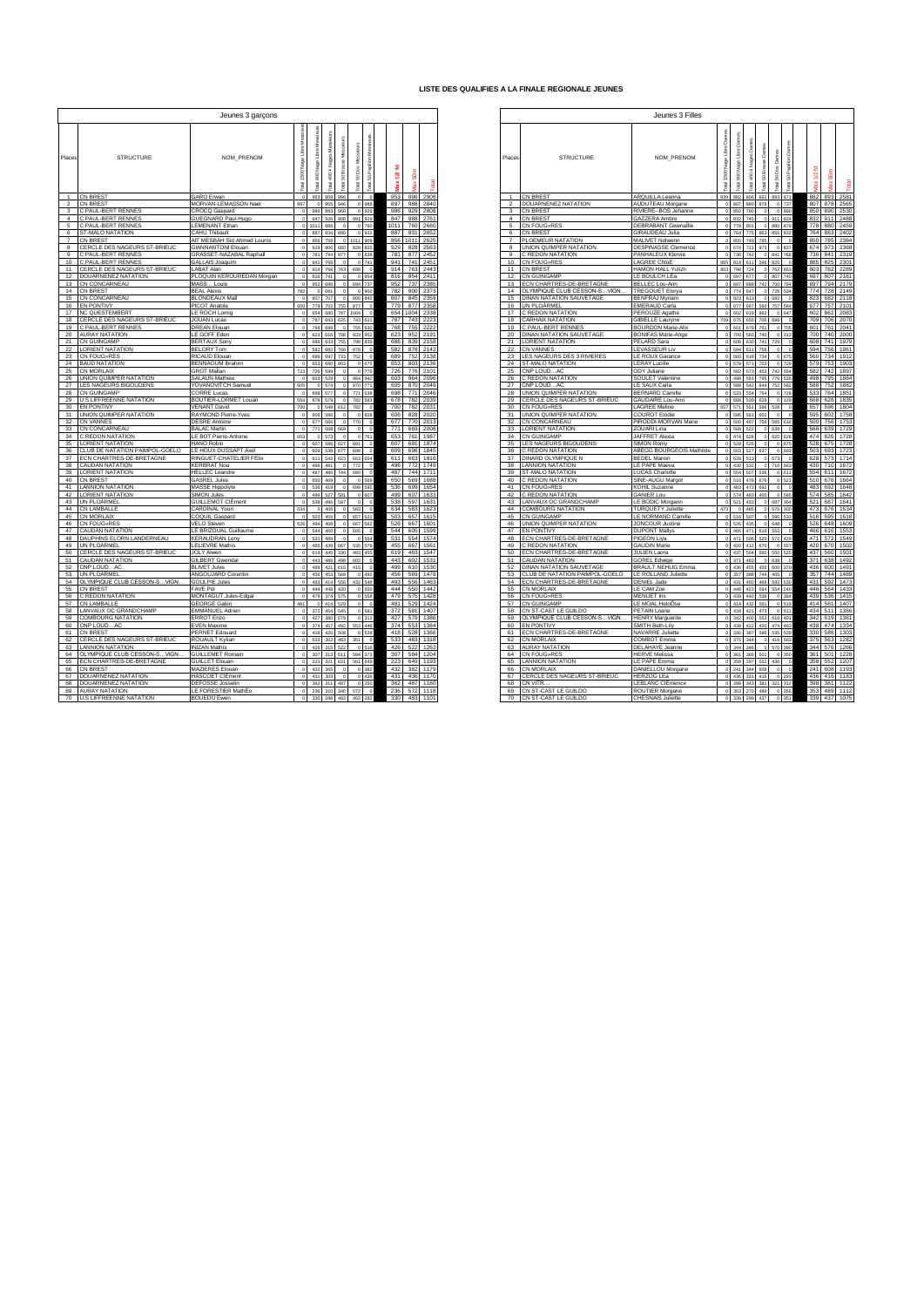## **LISTE DES QUALIFIES A LA FINALE REGIONALE JEUNES**

|                         |                                                          | Jeunes 3 garçons                                         |                 |                                |         |                                     |            |                                    |          |                     |                                                             | Jeunes 3 Filles                                 |                                             |                            |                             |                              |          |     |                              |
|-------------------------|----------------------------------------------------------|----------------------------------------------------------|-----------------|--------------------------------|---------|-------------------------------------|------------|------------------------------------|----------|---------------------|-------------------------------------------------------------|-------------------------------------------------|---------------------------------------------|----------------------------|-----------------------------|------------------------------|----------|-----|------------------------------|
| Places                  | <b>STRUCTURE</b>                                         | NOM_PRENOM                                               |                 | ş<br>$\frac{8}{2}$             |         | g<br><b>R</b>                       | g          |                                    | Places   |                     | <b>STRUCTURE</b>                                            | NOM_PRENOM                                      | ã<br>Libra<br>Nage <sub>l</sub><br>800<br>Ā | g<br>$\frac{8}{2}$         | 50 Brasse<br>$\overline{3}$ | å<br>S<br>$\overline{3}$     | ន        |     |                              |
|                         | 1 CN BREST                                               | GARO Erwan                                               |                 | 0 953                          | 959     | $\circ$<br>996                      |            | 996 2908<br>953                    |          |                     | 1 CN BREST                                                  | ARQUILLA Leanna                                 | 839<br>882                                  |                            |                             | 806 662 893 871              |          |     | 882 893 258                  |
| $\overline{2}$          | CN BREST                                                 | MORVAN-LEMASSON Nael                                     | 897             |                                | 955     | 0 988<br>0.46                       |            | 897 988 2840                       |          | $\overline{2}$      | DOUARNENEZ NATATION                                         | AUDUTEAU Morgane                                |                                             | 807 880 878                |                             | 0 737                        |          |     | 807 878 256                  |
| $\overline{\mathbf{3}}$ | C PAUL-BERT RENNES                                       | CROCQ Gaspard                                            |                 | 0 986 893 860                  |         | 0.929                               |            | 986<br>929 2808                    |          | $3 -$               | <b>CN BREST</b>                                             | RIVIERE--BOS Jehanne                            |                                             | 850 790                    | $\overline{0}$              | 0 890                        |          |     | 850 890 253                  |
| $\sim$                  | <b>PAUL-BERT RENNES</b>                                  | GUEGNARD Paul-Hugo                                       |                 | 0 847 926 988                  |         | 891 929                             |            | 847 988 2761                       |          | $\sim$              | <b>CN BREST</b>                                             | GAZZERA Ambre                                   |                                             | 832 745                    |                             | 911 824                      |          |     | 832 911 248                  |
| $5 -$                   | C PAUL-BERT RENNES                                       | LEMENANT Ethan                                           |                 | 0.1011                         | 889     | 0 760<br>$\Omega$                   |            | 1011<br>760 2660                   |          | 5                   | CN FOUG»RES                                                 | <b>DEBRABANT</b> Gwenallle                      | 778                                         | 801                        | $\overline{0}$              | 880 879                      |          |     | 778 880 245                  |
| 6<br>7                  | <b>ST-MALO NATATION</b>                                  | CAHU Thibault                                            |                 | 887 834 890                    |         | 0.931<br>1011 909<br>$\overline{0}$ |            | 887<br>931 2652<br>856 1011 2625   |          | 6<br>$\overline{7}$ | CN BREST                                                    | <b>GIRAUDEAU Julia</b>                          |                                             | 764 775 863<br>850 749 785 |                             | 855 832<br>$\overline{0}$    | $\Omega$ |     | 764 863 240<br>850 785 238   |
| $\mathbf{a}$            | <b>CN BREST</b><br>CERCLE DES NAGEURS ST-BRIEUC          | AIT MESBAH Sid Ahmed Lounis<br><b>GIANNANTONI Elouan</b> |                 | 0 856 758<br>0 929 806 660     |         | 828 825                             |            | 828 2563<br>929                    |          | $\mathbf{a}$        | PLOEMEUR NATATION<br>UNION QUIMPER NATATION                 | MALIVET Nolwenn<br><b>DESPINASSE Clemence</b>   |                                             | 674 721 973                |                             | 0 837                        |          |     | 674 973 236                  |
| $\mathbf{Q}$            | C PAUL-BERT RENNES                                       | GRASSET-NAZABAL Raphall                                  |                 | 0 781 794 877                  |         | 0 R38                               |            | 877 2452<br>781                    |          | $\mathbf{Q}$        | C REDON NATATION                                            | PANHALEUX Klervie                               |                                             |                            |                             | 736 742 0 841 768            |          |     | 736 841 231                  |
| 10                      | C PAUL-BERT RENNES                                       | <b>GALLAIS Joaquim</b>                                   |                 | 0 941 769                      |         | 0.741                               |            | 941 741 2451                       |          |                     | 10 CN FOUG »RES                                             | LAGREE ChloÈ                                    | 865                                         |                            |                             | 814 611 596 825              |          |     | 865 825 230                  |
| 11                      | CERCLE DES NAGEURS ST-BRIEUC                             | LABAT Alan                                               |                 | 0 914 766                      |         | 763<br>698                          | $\,$ 0     | 914 763 2443                       |          | 11                  | <b>CN BREST</b>                                             | HAMON HALL Yulizh                               | 803                                         | 798 724                    |                             | 0 762 653                    |          |     | 803 762 228                  |
| 12                      | DOUARNENEZ NATATION                                      | PLOQUIN KEROUREDAN Morgan                                |                 | 816 741                        |         | 0.854                               |            | 816<br>854 2411                    |          | 12                  | CN GUINGAMP                                                 | LE BOULCH LÈa                                   |                                             | 697 677                    |                             | 0 807 740                    |          |     | 697 807 218                  |
| 13                      | CN CONCARNEAU                                            | MASS Louis                                               |                 | 0 952                          | 696     | 694 737                             |            | 952<br>737 2385                    |          | 13                  | ECN CHARTRES-DE-BRETAGNE                                    | <b>BELLEC Lou-Ann</b>                           |                                             |                            |                             | 697 688 742 700 794          |          |     | 697 794 217                  |
| 14<br>15                | <b>CN BREST</b><br>CN CONCARNEAU                         | <b>BEAL Alexis</b><br><b>BLONDEAUX Mall</b>              | 782<br>$\theta$ | 0 691<br>807 707               |         | 0.900                               |            | 782<br>900 2373<br>807 845 2359    |          | 14                  | OLYMPIQUE CLUB CESSON-SVIGN.<br>15 DINAN NATATION SAUVETAGE | <b>TREGOUET Elonya</b><br><b>BENFRAJ Myriam</b> |                                             | 823 613                    |                             | 774 647 0 728 534<br>0 682   |          |     | 774 728 214<br>823 682 211   |
| 16                      | <b>EN PONTIVY</b>                                        | PICOT Anatole                                            | 650             | 779 702 755                    |         | 800 845<br>877                      |            | 779<br>877 2358                    |          |                     | 16 UN PLOARMEL                                              | <b>EMERAUD Carla</b>                            |                                             |                            |                             | 677 667 560 757 564          |          |     | 677 757 210                  |
| 17                      | NC QUESTEMBERT                                           | LE ROCH Lomig                                            |                 | 0 654 680 787                  |         | 1004                                |            | 654 1004 2338                      |          | 17                  | C REDON NATATION                                            | PEROUZE Agathe                                  |                                             | 602 619 862                |                             | 0.647                        |          |     | 602 862 208                  |
| 18                      | CERCLE DES NAGEURS ST-BRIEUC                             | JOUAN Lucas                                              |                 | 787 693 625                    |         | 743 611                             |            | 787<br>743 2223                    |          | 18                  | <b>CARHAIX NATATION</b>                                     | <b>GIBIELLE Lauryne</b>                         | 709                                         | 675 655 706                |                             | 699                          |          |     | 709 706 2070                 |
| 19                      | PAUL-BERT RENNES                                         | <b>DREAN Elouan</b>                                      |                 | 0 768                          | 699     | 755 630<br>$\Omega$                 |            | 768<br>755 2222                    |          | 19                  | C PAUL-BERT RENNES                                          | <b>BOURDON Marie-Alix</b>                       | $\Omega$                                    | 601 679 761                |                             | 0 705                        |          |     | 601 761 204                  |
| 20                      | <b>AURAY NATATION</b>                                    | LE GOFF Eden                                             |                 | 0 623 616 788                  |         | 833 952                             |            | 623<br>952 2191                    | 20       |                     | DINAN NATATION SAUVETAGE                                    | <b>BONIFAS Marie-Ange</b>                       |                                             | 700 560 740                |                             | $0 - 313$                    |          |     | 700 740 200                  |
| 21                      | CN GUINGAMP                                              | <b>BERTAUX Sony</b>                                      |                 | 0 686 633 755                  |         | 798 839                             |            | 686<br>839 2158                    | 21       |                     | <b>LORIENT NATATION</b>                                     | PELARD Sara                                     |                                             | 608 630 741                |                             | 729                          |          |     | 608 741 1979                 |
| 22<br>23                | <b>LORIENT NATATION</b><br>CN FOUG »RES                  | <b>BELORY Tom</b>                                        |                 |                                |         | 0 582 682 766 878<br>752            |            | 582<br>878 2142<br>689             |          | 23                  | 22 CN VANNES<br>LES NAGEURS DES 3 RIVIERES                  | <b>LEVASSEUR Liv</b>                            |                                             | 594 611 756<br>560 618 734 |                             | $\circ$<br>0 675             |          |     | 594 756 196<br>560 734 191   |
| 24                      | <b>BAUD NATATION</b>                                     | RICAUD Elouan<br><b>BENNAOUM</b> Ibrahim                 | $\circ$         | 0 689 697 733<br>653           | 680     | 803                                 |            | 752 2138<br>653<br>803 2136        | 24       |                     | <b>ST-MALO NATATION</b>                                     | LE ROUX Garance<br><b>LERAY Lucille</b>         |                                             | 579 571 753                |                             | 0 729                        |          |     | 579 753 190                  |
| 25                      | CN MORLAIX                                               | <b>GROT Mallan</b>                                       | 723             | 726                            | 599     | 0 776                               |            | 726<br>776 2101                    |          | 25                  | CNP LOUDAC                                                  | ODY Juliane                                     |                                             |                            |                             | 582 573 453 742 554          |          |     | 582 742 189                  |
| 26                      | UNION QUIMPER NATATION                                   | SALAUN Mathieu                                           |                 | 0 603 529                      |         | 964 942<br>$\Omega$                 |            | 603 964 2096                       |          |                     | 26 C REDON NATATION                                         | SOULET Valentine                                |                                             |                            |                             | 498 591 795 776 535          |          |     | 498 795 188                  |
| 27                      | <b>ES NAGEURS BIGOUDENS</b>                              | YOVANOVITCH Samuel                                       | 605             | $\Delta$                       | 574     | 870 771                             |            | 605<br>870 2049                    |          | 27                  | CNP LOUDAC                                                  | LE SAUX Carla                                   | 588                                         |                            | 542 644                     | 752 582                      |          |     | 588 752 1883                 |
| 28                      | CN GUINGAMP                                              | <b>CORRE Lucas</b>                                       |                 | 0 698 577                      |         | 771 638                             |            | 698<br>771 2046                    |          | 28                  | UNION QUIMPER NATATION                                      | <b>BERNARD Camille</b>                          |                                             | 533 554 764                |                             | 0 728                        |          |     | 533 764 185                  |
| 29<br>30 <sup>2</sup>   | <b>U.S LIFFREENNE NATATION</b><br>EN PONTIVY             | BOUTIER-LORMET Louan<br><b>VENANT David</b>              | 700             | 554 678 579<br>0 549           |         | 782 583<br>782                      |            | 678<br>782 2039<br>700<br>782 2031 |          | 29<br>30            | CERCLE DES NAGEURS ST-BRIEUC<br>CN FOUG»RES                 | GAUDAIRE Lou-Ann<br><b>LAGREE Meline</b>        | 657<br>571                                  | 668 539 628                |                             | $0$ 129<br>528               |          |     | 668 628 183<br>657 596 180   |
| 31                      | JNION QUIMPER NATATION                                   | RAYMOND Pierre-Yves                                      |                 | 606                            | 586     | 612<br>0828                         | $^{\circ}$ | 606<br>828 2020                    | 31       |                     | UNION QUIMPER NATATION                                      | <b>COUROT Elodie</b>                            | 595                                         | 551 596                    | 561 602                     | $\Omega$                     |          | 595 | 602 175                      |
| 32                      | CN VANNES                                                | <b>DESRE</b> Antoine                                     |                 | 0 677 566                      |         | 770                                 |            | 677<br>770 2013                    |          | 32                  | CN CONCARNEAU                                               | PIRODDI-MORVAN Marie                            |                                             |                            |                             | 500 497 756 565 616          |          |     | 500 756 175                  |
| 33                      | CN CONCARNEAU                                            | <b>BALAC Martin</b>                                      |                 | $0$ 771                        | 568     | $\overline{0}$<br>669               |            | 771<br>669 2008                    |          | 33                  | <b>LORIENT NATATION</b>                                     | ZOUARI Lina                                     | 568                                         | 522                        |                             | 0 639                        |          |     | 568 639 1729                 |
| 34                      | <b>CREDON NATATION</b>                                   | LE BOT Pierre-Antoine                                    | 653             | 0 573                          |         | 0 761                               |            | 653<br>761 1987                    |          | 34                  | <b>CN GUINGAMP</b>                                          | JAFFRET Alexia                                  |                                             | 474 628                    |                             | 0 620 626                    |          |     | 474 626 172                  |
| 35                      | LORIENT NATATION                                         | HANO Robin                                               |                 | 0 607 586 627                  |         | 681                                 |            | 607 681 1874                       |          | 35                  | <b>LES NAGEURS BIGOUDENS</b>                                | SIMON Romy                                      |                                             | 528 525                    |                             | 0 0 675                      |          |     | 528 675 172                  |
| 36<br>37                | CLUB DE NATATION PAIMPOL-GOELO                           | LE HOUX DUSSAPT Axel<br>RINGUET-CHATELIER FÈlix          | $\Omega$        | 609 538 677<br>611 542 623     |         | 698                                 |            | 609<br>698 1845<br>611<br>663 1816 | 36<br>37 |                     | C REDON NATATION<br>DINARD OLYMPIQUE N                      | ABEGG BOURGEOIS Mathilde<br><b>BEDEL Manon</b>  |                                             | 503 527 637                |                             | 0 693<br>0 573               |          |     | 503 693 1723<br>628 573 1714 |
| 38                      | ECN CHARTRES-DE-BRETAGNE<br>CAUDAN NATATION              | <b>KERBRAT Noa</b>                                       |                 | 0 496 481 0                    |         | 663 654<br>772                      |            | 496<br>772 1749                    |          | 38                  | <b>LANNION NATATION</b>                                     | LE PAPE Maeva                                   | $\sim$                                      | 628 513<br>430 532         |                             | 0 710 563                    |          |     | 430 710 167                  |
| 39                      | ORIENT NATATION                                          | <b>HELLEC</b> Leandre                                    |                 | 0 487 480 744                  |         | 680                                 |            | 487<br>744 1711                    |          | 39                  | ST-MALO NATATION                                            | <b>LUCAS Charlotte</b>                          |                                             | 554 507 536                |                             | 0 611                        |          |     | 554 611 1672                 |
| 40                      | <b>CN BREST</b>                                          | <b>GASREL Jules</b>                                      |                 | 0 650                          | 469     | 0.589                               |            | 650<br>569 1688                    |          | 40                  | C REDON NATATION                                            | SINE-AUGU Margot                                | 510                                         |                            | 478 676                     | 0.521                        |          |     | 510 676 166                  |
| 41                      | <b>ANNION NATATION</b>                                   | <b>MASSE Hippolyte</b>                                   |                 | 0 536 419                      |         | 699 592                             |            | 536<br>699 1654                    |          | 41                  | CN FOUG»RES                                                 | <b>KOHIL Suzanne</b>                            |                                             | 483 473 692                |                             | $\circ$                      |          |     | 483 692 164                  |
| 42                      | <b>LORIENT NATATION</b>                                  | SIMON Jules                                              | $\Omega$        | 499 527                        |         | <b>581</b><br>0.607                 |            | 499<br>607 1633                    |          | 42                  | C REDON NATATION                                            | <b>GANIER Lou</b>                               |                                             | 574 483 400                |                             | 0 585                        |          |     | 574 585 1642                 |
| 43<br>44                | UN PLOARMEL<br>CN LAMBALLE                               | <b>GUILLEMOT CIÈment</b><br>CARDINAL Youn                | 634             | 538<br>$0 - 406$               | 496     | 597<br>$\theta$<br>583              |            | 538<br>597 1631<br>634<br>583 1623 |          | 43<br>44            | LANVAUX OC GRANDCHAMP<br><b>COMBOURG NATATION</b>           | LE BODIC Morgann<br><b>TURQUETY Juliette</b>    | 473                                         | 521 433<br>0 485           | $\circ$                     | 687 364<br>0 676 300         |          |     | 521 687 164<br>473 676 163   |
| 45                      | CN MORLAIX                                               | COQUIL Gaspard                                           |                 | 0.503                          | 455     | 657 621                             |            | 503<br>657 1615                    |          | 45                  | CN GUINGAMP                                                 | LE NORMAND Camille                              |                                             | 516 507                    |                             | 0 595 533                    |          |     | 516 595 1618                 |
| 46                      | CN FOUG »RES                                             | VELO Steven                                              | 526             | 494                            | 408     | 667 562                             |            | 526<br>667 1601                    |          | 46                  | UNION QUIMPER NATATION                                      | JONCOUR Justine                                 | 526                                         | 435                        |                             | 0 648                        |          |     | 526 648 160                  |
| 47                      | CAUDAN NATATION                                          | LE BRIZOUAL Guillaume                                    | $\theta$        | 544 450                        |         | 605                                 |            | 544<br>605 1599                    |          |                     | 47 EN PONTIVY                                               | <b>DUPONT Mailys</b>                            |                                             |                            |                             | 466 471 616 552              |          |     | 466 616 155                  |
| 48                      | DAUPHINS ELORN LANDERNEAU                                | <b>KERAUDRAN Leny</b>                                    |                 | 0 531 489                      |         | 0 554                               |            | 531<br>554 1574                    |          | 48                  | ECN CHARTRES-DE-BRETAGNE                                    | PIGEON Liya                                     |                                             |                            |                             | 471 506 525 572 429          |          |     | 471 572 154                  |
| 49<br>50                | <b>IN PLOARMEL</b><br>CERCLE DES NAGEURS ST-BRIEUC       | LELIEVRE Mathis<br><b>JOLY Alwen</b>                     |                 | 455 439 667<br>0 619 445 330   |         | 535 579<br>483 455                  |            | 455<br>667 1561<br>619<br>483 1547 |          | 49<br>50            | C REDON NATATION<br>ECN CHARTRES-DE-BRETAGNE                | <b>GAUDIN Marie</b><br>JULIEN Laora             |                                             | 420 412 670                |                             | 0.557<br>437 504 560 550 525 |          |     | 420 670 150<br>437 560 150   |
| 51                      | CAUDAN NATATION                                          | <b>GILBERT Gwenda</b>                                    |                 | 0443                           | 486 498 | 602                                 |            | 443<br>602 1531                    | 51       |                     | <b>CAUDAN NATATION</b>                                      | <b>GOREL Edwige</b>                             |                                             | 371 483                    |                             | 0 638                        |          |     | 371 638 149                  |
| 52                      | CNP LOUDAC                                               | <b>BLIVET Jules</b>                                      |                 | 0 499 421 610                  |         | 415                                 |            | 499 610 1530                       |          | 52                  | DINAN NATATION SAUVETAGE                                    | <b>BRAULT NEHLIG Emma</b>                       |                                             |                            |                             | 436 455 456 600 370          |          |     | 436 600 149                  |
| 53                      | UN PLOARMEL                                              | ANGOUJARD Corentin                                       |                 | 0 456 453 569                  |         | 0.492                               |            | 456<br>569 1478                    |          |                     | 53 CLUB DE NATATION PAIMPOL-GOELO                           | LE ROLLAND Juliette                             |                                             |                            |                             | 357 388 744 405              |          |     | 357 744 148                  |
| 54                      | OLYMPIQUE CLUB CESSON-SVIGN.                             | <b>GOULPIE Jules</b>                                     | $\Omega$        | 493 414 556                    |         | 432 548                             |            | 556 1463<br>493                    |          | 54                  | ECN CHARTRES-DE-BRETAGNE                                    | <b>DENIEL Jade</b>                              |                                             |                            |                             | 431 450 468 592 530          |          |     | 431 592 147                  |
| 55                      | <b>N BREST</b>                                           | <b>FAVE Pol</b>                                          |                 | 444 448 420                    |         | 0 550                               |            | 444<br>550<br>1442                 |          | 55                  | <b>CN MORLAIX</b>                                           | LE CAM Zoe                                      |                                             |                            |                             | 446 423 564 554 240          |          |     | 446 564 143                  |
| 56                      | <b>CREDON NATATION</b>                                   | MONTAGUT Jules-Edgar                                     |                 | 479 374 575                    |         | 0.558<br>$\sqrt{2}$                 |            | 479<br>575 1428                    | 56       |                     | CN FOUG»RES                                                 | <b>MENUET Iris</b>                              |                                             | 439 440 536                |                             | 0 384                        |          |     | 439 536 141                  |
| 57<br>58                | CN LAMBALLE<br>ANVAUX OC GRANDCHAMP                      | <b>GEORGE Gabin</b><br><b>EMMANUEL Adrien</b>            | 481             | 0 414 529<br>0 372 454 545     |         | 0 581                               |            | 481 529 1424<br>372<br>581 1407    | 58       | 57                  | <b>CN GUINGAMP</b><br>CN ST-CAST LE GUILDO                  | LE MOAL HeloOse<br>PETAIN Loane                 |                                             | 414 432 561<br>434 421 473 |                             | 0 519<br>0 511               |          |     | 414 561 140<br>434 511 136   |
| 59                      | COMBOURG NATATION                                        | <b>ERROT Enzo</b>                                        |                 | 0 427 380 579                  |         | 0.311                               |            | 427<br>579 1386                    |          | 59                  | OLYMPIQUE CLUB CESSON-SVIGN.                                | <b>HENRY Marguerite</b>                         |                                             |                            |                             | 342 400 553 619 401          |          |     | 342 619 136                  |
| 60                      | CNP LOUDAC                                               | <b>EVEN Maxime</b>                                       |                 | 0 374 457 492                  |         | 553 446                             |            | 374<br>553 1384                    |          | 60                  | <b>EN PONTIVY</b>                                           | SMITH Beth-Lily                                 |                                             |                            |                             | 438 422 420 474 463          |          |     | 438 474 133                  |
| 61                      | <b>CN BREST</b>                                          | <b>PERNET Edouard</b>                                    | $\Omega$        | 418 420 508                    |         | 0.528                               |            | 418<br>528 1366                    | 61       |                     | ECN CHARTRES-DE-BRETAGNE                                    | NAVARRE Juliette                                |                                             |                            |                             | 330 387 586 535 539          |          |     | 330 586 130                  |
| 62                      | CERCLE DES NAGEURS ST-BRIEUC                             | ROUAULT Kylian                                           |                 | 533 302 483                    |         | 351                                 |            | 533<br>483 1318                    | 62       |                     | CN MORLAIX                                                  | COMBOT Emma                                     | 375                                         | 344                        |                             | 0 419 563                    |          |     | 375 563 128                  |
| 63                      | LANNION NATATION                                         | <b>INIZAN Mathis</b>                                     |                 | 0 426 315 522                  |         | 0 516                               |            | 426<br>522 1263<br>307             |          | 63                  | <b>AURAY NATATION</b>                                       | DELAHAYE Jeanne                                 |                                             | 344 346                    |                             | 0 576 390<br>0 350           |          |     | 344 576 126                  |
| 64<br>65                | OLYMPIQUE CLUB CESSON-SVIGN.<br>ECN CHARTRES-DE-BRETAGNE | <b>GUILLEMET Romain</b><br><b>GUILLET Elouan</b>         |                 | 0 307 313 511<br>0 223 321 621 |         | 584 373<br>561 649                  |            | 584 1204<br>223<br>649 1193        | 64       | 65                  | CN FOUG»RES<br><b>LANNION NATATION</b>                      | <b>HERVE Melissa</b><br>LE PAPE Emma            |                                             | 361 366 501                |                             | 358 297 552 438              |          |     | 361 501 122<br>358 552 120   |
| 66                      | <b>CN BREST</b>                                          | MAZIERES Elouan                                          |                 | 0 432 365                      |         | 0.382                               |            | 432<br>382 1179                    |          | 66                  | <b>CN MORLAIX</b>                                           | DANIELLOU Morgane                               |                                             | 241 344 608                |                             | $\circ$                      |          |     | 241 608 119                  |
| 67                      | DOUARNENEZ NATATION                                      | <b>HASCOET CIEment</b>                                   |                 | 0 431 303                      |         | 0436<br>$\Omega$                    |            | 431<br>436 1170                    |          | 67                  | CERCLE DES NAGEURS ST-BRIEUC                                | <b>HERZOG LEa</b>                               |                                             | 436 331 416                |                             | 0 293                        |          |     | 436 416 118                  |
| 68                      | DOUARNENEZ NATATION                                      | <b>DEFOSSE Josselin</b>                                  |                 | 362 311 487                    |         | 0.250                               |            | 362<br>487 1160                    |          | 68                  | CN VITR.                                                    | LEBLANC CIÈmence                                |                                             |                            |                             | 398 343 381 321 312          |          |     | 398 381 112                  |
|                         | 69 AURAY NATATION                                        | LE FORESTIER MathÈo                                      |                 |                                |         | 0 236 310 340 572 0                 |            | 236<br>572 1118                    |          |                     | 69 CN ST-CAST LE GUILDO                                     | ROUTIER Morgane                                 | 0 353 270 489                               |                            |                             | 0 356                        |          |     | 353 489 111:                 |
| 70 <sub>1</sub>         | <b>ILC LIEEDEEMME MATATION</b>                           | <b>BOURDO EM</b>                                         |                 |                                |         | $0.220$ 229 $102$ $102$             |            | 220<br>499 1101                    |          |                     | <b>70 CN ST CAST LE CULI DC</b>                             | CUECMAIC Infinite                               | $0.330.300$ $137$                           |                            |                             | 0.954                        |          |     | 220 427 1078                 |

|                 |                                                          | Jeunes 3 garçons                            |              |                    |                              |                      |                                                      |     |         |                              |                |                                                                   | Jeunes 3 Filles                                      |                               |                                |         |                                    |                              |          |  |
|-----------------|----------------------------------------------------------|---------------------------------------------|--------------|--------------------|------------------------------|----------------------|------------------------------------------------------|-----|---------|------------------------------|----------------|-------------------------------------------------------------------|------------------------------------------------------|-------------------------------|--------------------------------|---------|------------------------------------|------------------------------|----------|--|
| aces            | <b>STRUCTURE</b>                                         | <b>NOM PRENOM</b>                           |              | $\frac{8}{2}$<br>Ţ | 4 Nage<br>$\frac{8}{9}$<br>쿞 | S.<br>$\overline{3}$ | Dos Mes<br>Pagillon<br>$\overline{5}$<br>S<br>ø<br>Ā |     |         |                              | Places         | <b>STRUCTURE</b>                                                  | <b>NOM PRENOM</b>                                    | <b>Seek</b><br>$\rm ^{\rm o}$ | Nage<br>$\frac{8}{2}$<br>图     | g       | å<br>š<br>g<br>S.<br>J.<br>콞<br>в  |                              | ā        |  |
|                 | 1 CN BREST                                               | GARO Erwan                                  |              |                    | 953 959                      | 996                  | $0$ $0$                                              |     | 953 996 | 2908                         |                | 1 CN BREST                                                        | ARQUILLA Leanna                                      | 839 882                       |                                |         | 806 662 893 871                    | 882 893 2581                 |          |  |
|                 | <b>CN BREST</b>                                          | MORVAN-LEMASSON Nael                        | 897          |                    | 0 955                        | 946                  | 0.988                                                | 897 | 988     | 2840                         |                | DOUARNENEZ NATATION                                               | AUDUTEAU Morgane                                     |                               | 0.807                          | 880 878 | 0 737                              | 807 878 2565                 |          |  |
| $\frac{2}{3}$   | C PAUL-BERT RENNES                                       | CROCQ Gaspard                               | $\sim$       |                    | 986 893                      | 860                  | 0.929                                                |     |         | 986 929 2808                 | $\mathbf{3}$   | CN BREST                                                          | RIVIERE--BOS Jehanne                                 |                               | 0.850<br>790                   |         | 0 890<br>$\overline{0}$            | 850 890 2530                 |          |  |
|                 | 4 C PAUL-BERT RENNES                                     | <b>GUEGNARD Paul-Hugo</b>                   |              |                    | 0 847 926 988                |                      | 891 929                                              |     |         | 847 988 2761                 | 4              | <b>CN BREST</b>                                                   | GAZZERA Ambre                                        |                               | 0.832<br>745                   |         | 0 911 824                          | 832 911 2488                 |          |  |
| $5\phantom{.0}$ | C PAUL-BERT RENNES                                       | <b>LEMENANT Ethan</b>                       |              | 0 1011 889         |                              |                      | 0.760                                                |     |         | 1011 760 2660                | 5              | CN FOUG»RES                                                       | <b>DEBRABANT</b> Gwenallle                           |                               | 0 778                          | 801     | 880 879                            | 778 880 2459                 |          |  |
|                 | 6 ST-MALO NATATION                                       | CAHU Thibault                               |              |                    | 887 834 890                  |                      | 0.931                                                |     |         | 887 931 2652                 | 6              | <b>CN BREST</b>                                                   | <b>GIRAUDEAU Julia</b>                               |                               | $0 - 764$                      |         | 775 863 855 832                    | 764 863 2402                 |          |  |
|                 | <b>CN BREST</b>                                          |                                             | $\Omega$     |                    |                              |                      | 0 1011 909                                           |     |         | 856 1011 2625                | $\overline{7}$ | PLOEMEUR NATATION                                                 | MALIVET Nolwenn                                      |                               | 0 850                          | 749 785 |                                    | 850 785 2384                 |          |  |
| 7               |                                                          | AIT MESBAH Sid Ahmed Lounis                 |              |                    | 856 758                      |                      |                                                      |     |         |                              |                |                                                                   |                                                      |                               | 674                            |         | $0$ 0                              |                              |          |  |
| 8               | CERCLE DES NAGEURS ST-BRIEUC                             | <b>GIANNANTONI Elouan</b>                   |              | 929                | 806                          | 660                  | 828 825                                              |     | 929 828 | 2563                         | $\mathbf{Q}$   | UNION QUIMPER NATATION                                            | DESPINASSE Clemence                                  |                               |                                | 721 973 | 0 837                              | 674 973 2368                 |          |  |
| 9               | C PAUL-BERT RENNES<br>10 C PAUL-BERT RENNES              | GRASSET-NAZABAL Raphall                     |              |                    | 781 794 877                  | $\sim$               | 0 838<br>0.741                                       |     |         | 781 877 2452<br>941 741 2451 | $10-1$         | C REDON NATATION<br>CN FOUG»RES                                   | PANHALEUX Klervie                                    | 865 814                       | 0.736<br>742                   |         | 0 841 768                          | 736 841 2319<br>865 825 2301 |          |  |
|                 | CERCLE DES NAGEURS ST-BRIEUC                             | GALLAIS Joaquim                             |              |                    | 941 769                      |                      |                                                      |     |         | 914 763 2443                 |                | 11 CN BREST                                                       | LAGREE ChloÈ                                         |                               |                                |         | 611 596 825 0                      | 803 762 2289                 |          |  |
| 11              |                                                          | LABAT Alan                                  |              | $0$ 816 741        | 914 766                      | 763                  | 698<br>0 854                                         |     |         |                              | 12             |                                                                   | <b>HAMON HALL Yulizh</b>                             |                               | 803 798 724<br>0 697 677       |         | 762 653<br>0 807 740               |                              |          |  |
|                 | 12 DOUARNENEZ NATATION                                   | PLOQUIN KEROUREDAN Morgan<br>MASS Louis     | $\Omega$     |                    | 952 696                      |                      | 694 737                                              |     |         | 816 854 2411<br>952 737 2385 | 13             | <b>CN GUINGAMP</b><br>ECN CHARTRES-DE-BRETAGNE                    | <u>LE BOULCH LÈa</u><br>BELLEC Lou-Ann               |                               | 0.897                          |         | 688 742 700 794                    | 697 807 2181<br>697 794 2179 |          |  |
|                 |                                                          | <b>BEAL Alexis</b>                          | 782          |                    | 0 691                        |                      | 0.900                                                |     |         |                              |                |                                                                   | <b>TREGOUET Elorya</b>                               |                               | 0 774 647                      |         | $\overline{0}$                     | 774 728 2149                 |          |  |
|                 | 14 CN BREST<br>15 CN CONCARNEAU                          | <b>BLONDEAUX Mall</b>                       | $\Omega$     |                    |                              |                      | 0 800 845                                            |     |         | 782 900 2373<br>807 845 2359 | 15             | OLYMPIQUE CLUB CESSON-SVIGN.<br>DINAN NATATION SAUVETAGE          |                                                      |                               | $0\,823$<br>613                |         | 728 534<br>$\overline{0}$          | 823 682 2118                 |          |  |
|                 | 16 EN PONTIVY                                            | PICOT Anatole                               | 650          |                    | 807 707<br>779 702           | 755                  | 877                                                  |     |         | 779 877 2358                 | 16             | UN PLOÄRMEL                                                       | <b>BENFRAJ Myriam</b><br><b>EMERAUD Carla</b>        |                               | 0 677                          | 667 560 | 0 682<br>757 564                   | 677 757 2101                 |          |  |
|                 | 17 NC QUESTEMBERT                                        | LE ROCH Lomig                               | $\Omega$     |                    | 654 680 787 1004             |                      |                                                      |     |         | 654 1004 2338                |                | 17 C REDON NATATION                                               | PEROUZE Agathe                                       |                               | 0 602 619 862                  |         | 0 647                              | 602 862 2083                 |          |  |
|                 |                                                          |                                             |              |                    |                              |                      |                                                      |     |         |                              |                |                                                                   |                                                      |                               |                                |         |                                    |                              |          |  |
|                 | 18 CERCLE DES NAGEURS ST-BRIEUC<br>19 C PAUL-BERT RENNES | <b>JOUAN Lucas</b><br><b>DREAN Elouan</b>   | $\circ$      |                    | 768 699                      |                      | 787 693 625 743 611<br>755 630                       |     |         | 787 743 2223<br>755<br>2222  | 18<br>19       | <b>CARHAIX NATATION</b><br>C PAUL-BERT RENNES                     | <b>GIBIELLE Lauryne</b><br><b>BOURDON Marie-Alix</b> | 709 675                       | 601                            |         | 655 706 699 0                      | 709 706 2070<br>601 761 2041 |          |  |
|                 | 20 AURAY NATATION                                        |                                             |              |                    |                              | $\overline{0}$       |                                                      | 768 |         | 952                          | 20             |                                                                   |                                                      |                               | 700                            | 679 761 | 0 705                              | 700 740 2000                 |          |  |
|                 | 21 CN GUINGAMP                                           | LE GOFF Eden<br><b>BERTAUX Sony</b>         |              |                    | 623 616                      | 788                  | 833 952<br>0 686 633 755 798 839                     | 623 |         | 2191<br>686 839 2158         | 21             | <b>DINAN NATATION SAUVETAGE</b><br>LORIENT NATATION               | <b>BONIFAS Marie-Ange</b><br>PELARD Sara             |                               | 560                            | 740     | 0 <sup>313</sup>                   | 608 741 1979                 |          |  |
|                 | 22 LORIENT NATATION                                      | <b>BELORY Tom</b>                           |              |                    | 0 582 682 766 878            |                      |                                                      |     |         | 582 878 2142                 | 22             | CN VANNES                                                         | LEVASSEUR Liv                                        |                               | 0 608<br>0 594 611 756         |         | 630 741 729 0<br>$0$ $0$           | 594 756 1961                 |          |  |
|                 |                                                          | RICAUD Elouan                               |              |                    |                              |                      | 0 689 697 733 752 0                                  |     |         | 689 752 2138                 | 23             | LES NAGEURS DES 3 RIVIERES                                        | LE ROUX Garance                                      |                               | 0 560 618 734                  |         | 0 675                              | 560 734 1912                 |          |  |
|                 | 23 CN FOUG » RES<br>24 BAUD NATATION                     | <b>RENNAOUM</b> Ihrahim                     |              |                    | 0 653 680 803                |                      | 0.675                                                |     |         | 653 803 2136                 | 24             | ST-MALO NATATION                                                  | <b>ERAY Lucille</b>                                  |                               | 0 579                          | 571 753 | 0 729                              | 579 753 1903                 |          |  |
|                 | 25 CN MORLAIX                                            | <b>GROT Mallan</b>                          | 723          |                    | 726 599                      |                      | 0.776                                                |     |         |                              | 25             | CNP LOUDAC                                                        | ODY Juliane                                          |                               | 0 582                          |         | 573 453 742 554                    | 582 742 1897                 |          |  |
|                 | 26 UNION QUIMPER NATATION                                | SALAUN Mathieu                              |              | 0 603 529          |                              | - ol                 | 964 942                                              |     |         | 726 776 2101<br>603 964 2096 | 26             | C REDON NATATION                                                  | SOULET Valentine                                     |                               | $0 - 498$                      |         | 591 795 776 535                    | 498 795 1884                 |          |  |
|                 | <b>27 LES NAGEURS BIGOUDENS</b>                          | YOVANOVITCH Samuel                          | 605          |                    | 0.574                        |                      | 0 870 771                                            |     |         | 605 870 2049                 | 27             | CNP LOUDAC                                                        | LE SAUX Carla                                        |                               | 0 588                          |         | 542 644 752 582                    | 588 752 1882                 |          |  |
|                 | 28 CN GUINGAMP                                           | <b>CORRE Lucas</b>                          |              | 0 698 577          |                              |                      | 0 771 638                                            |     |         | 698 771 2046                 | 28             | UNION QUIMPER NATATION                                            | <b>BERNARD Camille</b>                               |                               | 0 533 554 764                  |         | 0 728                              | 533 764 1851                 |          |  |
|                 | 29 U.S LIFFREENNE NATATION                               | BOUTIER-LORMET Louan                        |              | 554 678 579        |                              |                      | 0 782 583                                            |     |         | 678 782 2039                 | 29             | CERCLE DES NAGEURS ST-BRIEUC                                      | GAUDAIRE Lou-Ann                                     |                               | 0 668 539 628                  |         | $0$ 129                            | 668 628 1835                 |          |  |
|                 | 30 EN PONTIVY                                            | <b>VENANT David</b>                         | 700          |                    | 0 549                        | 612                  | 782                                                  | 700 |         | 782 2031                     | 30             | CN FOUG»RES                                                       | <b>AGREE Meline</b>                                  | 657 571                       |                                |         | 551 596 528 0                      | 657 596                      | 1804     |  |
|                 | 31 UNION QUIMPER NATATION                                | RAYMOND Pierre-Yves                         |              |                    | 606 586                      |                      | 0.828                                                | 606 |         | 828<br>2020                  | 31             | UNION QUIMPER NATATION                                            | <b>COUROT Elodie</b>                                 |                               | 595 561                        | 602     | $\circ$                            | 595                          | 602 1758 |  |
|                 | 32 CN VANNES                                             | <b>DESRE</b> Antoine                        | $\Omega$     |                    | 677 566                      |                      | 0 770<br>$^{\circ}$                                  |     |         | 677 770 2013                 | 32             | CN CONCARNEAU                                                     | PIRODDI-MORVAN Marie                                 |                               |                                |         | 0 500 497 756 565 616              | 500 756 1753                 |          |  |
|                 | 33 CN CONCARNEAU                                         | <b>BALAC Martin</b>                         | $\sim$       |                    | 771 568                      | 669                  | $\circ$                                              |     |         | 771 669 2008                 | 33             | <b>LORIENT NATATION</b>                                           | ZOUARI Lina                                          |                               | 0.568<br>522                   |         | o sal                              | 568 639 1729                 |          |  |
|                 |                                                          | LE BOT Pierre-Antoine                       | 653          |                    | 0 573                        | $\sim$               | 0 761                                                |     |         | 653 761 1987                 | 34             | <b>CN GUINGAMP</b>                                                | JAFFRET Alexia                                       |                               | 0 474 628                      |         | 0 620 626                          | 474 626 1728                 |          |  |
|                 | 34 C REDON NATATION<br>35 LORIENT NATATION               | HANO Robin                                  | $^{\circ}$ 0 |                    |                              |                      | 607 586 627 681 0                                    |     |         | 607 681 1874                 | 35             | <b>LES NAGEURS BIGOUDENS</b>                                      | SIMON Romy                                           |                               | 0.528<br>525                   |         | 0 675<br>$\sim$                    | 528 675 1728                 |          |  |
|                 | 36 CLUB DE NATATION PAIMPOL-GOELO                        | LE HOUX DUSSAPT Axel                        |              |                    | 609 538                      | 677                  | 698                                                  |     | 609 698 | 1845                         | 36             | C REDON NATATION                                                  | ABEGG BOURGEOIS Mathilde                             |                               | 503<br>527                     |         | 637<br>0 693                       | 503                          | 693 1723 |  |
|                 | 37 ECN CHARTRES-DE-BRETAGNE                              | <b>RINGUET-CHATELIER FÈlix</b>              |              |                    | 611 542 623                  |                      | 663 654                                              |     |         | 611 663 1816                 | 37             | DINARD OLYMPIQUE N                                                | <b>BEDEL Manon</b>                                   |                               | 0.628<br>513                   |         | 573                                | 628 573 1714                 |          |  |
|                 | 38 CAUDAN NATATION                                       | <b>KERBRAT Noa</b>                          | $\Delta$     |                    | 496 481                      | 0 772                |                                                      |     |         | 496 772 1749                 | 38             | <b>LANNION NATATION</b>                                           | LE PAPE Maeva                                        |                               | $0 - 430$<br>632               |         | 0 710 563                          | 430 710 1672                 |          |  |
|                 | 39 LORIENT NATATION                                      | <b>HELLEC Leandre</b>                       |              |                    | 487 480 744                  |                      | 680                                                  |     |         | 487 744 1711                 | 39             | ST-MALO NATATION                                                  | LUCAS Charlotte                                      |                               | 0 554 507 536                  |         | 0 611                              | 554 611 1672                 |          |  |
|                 | 40 CN BREST                                              | <b>GASREL Jules</b>                         |              |                    | 0 650 469                    | $\circ$              | 0 569                                                |     |         | 650 569 1688                 | 40             | C REDON NATATION                                                  | SINE-AUGU Margot                                     |                               | 0 510 478 676                  |         | 0.521                              | 510 676 1664                 |          |  |
|                 | 41 LANNION NATATION                                      | <b>MASSE Hippolyte</b>                      |              |                    | 536 419                      | $\circ$              | 699 592                                              | 536 |         | 699 1654                     | 41             | CN FOUG»RES                                                       | <b>KOHIL Suzanne</b>                                 |                               | 483                            | 473 692 | $0$ 0                              | 483 692 1648                 |          |  |
|                 | 42 LORIENT NATATION                                      | SIMON Jules                                 |              |                    | 499 527                      | 581                  | 0 607                                                | 499 |         | 607 1633                     | 42             | C REDON NATATION                                                  | <b>SANIER Lou</b>                                    |                               | 0 574 483 400                  |         | 0 585                              | 574 585 1642                 |          |  |
|                 | 43 UN PLOARMEL                                           | <b>GUILLEMOT CIÈment</b>                    |              |                    | 538 496                      | 597                  | $\circ$                                              |     |         | 538 597 1631                 | 43             | LANVAUX OC GRANDCHAMP                                             | LE BODIC Morgann                                     | 0 521                         | 433                            |         | 0 687 364                          | 521 687 1641                 |          |  |
|                 | 44 CN LAMBALLE                                           | CARDINAL Youn                               | 634          |                    | 0.406                        | $\sim$               | 583                                                  |     |         | 634 583 1623                 | 44             | <b>COMBOURG NATATION</b>                                          | TUROUFTY Juliette                                    | 473                           | 485                            |         | 0 676 300                          | 473 676 1634                 |          |  |
|                 | 45 CN MORLAIX                                            | COQUIL Gaspard                              |              | 0 503 455          |                              |                      | 0 657 621                                            |     |         | 503 657 1615                 | 45             | <b>CN GUINGAMP</b>                                                | E NORMAND Camille                                    |                               | 0 516 507                      |         | 0 595 533                          | 516 595 1618                 |          |  |
|                 | 46 CN FOUG >RES                                          | VELO Steven                                 | 526          |                    | 494 408                      |                      | 0 667 562                                            |     |         | 526 667 1601                 | 46             | UNION QUIMPER NATATION                                            | JONCOUR Justine                                      |                               | 0 526 435                      |         | 0.648<br>$\overline{\phantom{a}}$  | 526 648 1609                 |          |  |
|                 | 47 CAUDAN NATATION                                       | LE BRIZOUAL Guillaume                       |              |                    | 544 450                      |                      | 605                                                  |     | 544 605 | 1599                         | 47             | EN PONTIVY                                                        | <b>DUPONT Mailys</b>                                 |                               | 466                            |         | 471 616 552                        | 466 616 1553                 |          |  |
|                 | 48 DAUPHINS ELORN LANDERNEAU                             | <b>KERAUDRAN Leny</b>                       |              |                    | 531 489                      |                      | 0 554                                                |     |         | 531 554 1574                 | 48             | ECN CHARTRES-DE-BRETAGNE                                          | PIGEON Liya                                          |                               |                                |         | 0 471 506 525 572 429              | 471 572 1549                 |          |  |
|                 | 49 UN PLOÄRMEL                                           | <b>LELIEVRE Mathis</b>                      | $\sim$       |                    |                              |                      | 455 439 667 535 579                                  |     |         | 455 667 1561                 | 49             | C REDON NATATION                                                  | <b>GAUDIN Marie</b>                                  |                               | 0.420                          |         | 412 670 0 557                      | 420 670 1502                 |          |  |
|                 | 50 CERCLE DES NAGEURS ST-BRIEUC                          | JOLY Alwen                                  |              |                    | 619 445 330                  |                      | 483 455                                              |     |         | 619 483 1547                 | 50             | ECN CHARTRES-DE-BRETAGNE                                          | <b>JULIEN Laora</b>                                  |                               | 0437                           | 504 560 | 550 525                            | 437 560 1501                 |          |  |
|                 | 51 CAUDAN NATATION                                       | <b>GILBERT Gwendal</b>                      |              |                    | 0 443 486 498                |                      | 602                                                  |     |         | 443 602 1531                 | 51             | CAUDAN NATATION                                                   | <b>GOREL Edwige</b>                                  | $0 - 371$                     | 483                            |         | 0.638                              | 371 638 1492                 |          |  |
|                 | 52 CNP LOUDAC                                            | <b>BLIVET Jules</b>                         | $^{\circ}$   |                    | 499 421 610                  |                      | 415                                                  |     |         | 499 610 1530<br>569 1478     | 52             | <b>DINAN NATATION SAUVETAGE</b><br>CLUB DE NATATION PAIMPOL-GOELO | <b>BRAULT NEHLIG Emma</b>                            |                               | $0 - 436$<br>455               |         | 456 600 370<br>388 744 405         | 436 600 1491<br>357 744 1489 |          |  |
|                 | 53 UN PLOÀRMEL<br>54 OLYMPIQUE CLUB CESSON-SVIGN.        | ANGOUJARD Corentin                          |              |                    | 456 453 569                  |                      | 0492                                                 | 456 |         |                              | 53             |                                                                   | LE ROLLAND Juliette                                  |                               | 0 357                          |         | $^{\circ}$                         |                              |          |  |
|                 | 55 CN BREST                                              | <b>GOULPIE Jules</b><br><b>FAVE Pol</b>     | $\Omega$     |                    | 0 444 448 420                |                      | 493 414 556 432 548<br>0 550                         |     |         | 493 556 1463<br>444 550 1442 | 54<br>55       | ECN CHARTRES-DE-BRETAGNE<br><b>CN MORLAIX</b>                     | <b>DENIEL Jade</b><br>LE CAM Zoe                     |                               | 0.431<br>$0 - 446$             |         | 450 468 592 530<br>423 564 554 240 | 431 592 1473<br>446 564 1433 |          |  |
|                 |                                                          |                                             |              |                    |                              |                      |                                                      |     |         |                              |                |                                                                   |                                                      |                               |                                |         |                                    |                              |          |  |
|                 | <b>66 C REDON NATATION</b>                               | MONTAGUT Jules-Edgar<br><b>GEORGE Gabin</b> | 481          |                    | 479 374 575<br>0 414 529     |                      | 0 558<br>$0$ 0                                       |     |         | 479 575 1428<br>481 529 1424 | 56<br>57       | CN FOUG»RES<br><b>CN GUINGAMP</b>                                 | <b>MENUET Iris</b><br>LE MOAL HeloÔse                |                               | 0 439 440 536<br>0 414 432 561 |         | 0 384<br>0 519                     | 439 536 1415<br>414 561 1407 |          |  |
|                 | 57 CN LAMBALLE<br><b>68 LANVAUX OC GRANDCHAMP</b>        | EMMANUEL Adrien                             | $\Omega$     |                    | 372 454 545                  |                      | 0.581                                                |     |         | 372 581 1407                 | 58             | CN ST-CAST LE GUILDO                                              | PETAIN Loane                                         |                               | 0 434 421 473                  |         | 0 511                              | 434 511 1366                 |          |  |
|                 | 59 COMBOURG NATATION                                     | <b>ERROT Enzo</b>                           | $\Omega$     |                    | 427 380 579                  |                      | 0 311                                                |     |         | 427 579 1386                 | 59             | OLYMPIQUE CLUB CESSON-SVIGN                                       | <b>HENRY Marguerite</b>                              |                               |                                |         | 0 342 400 553 619 401              | 342 619 1361                 |          |  |
|                 | 60 CNP LOUDAC                                            | <b>EVEN Maxime</b>                          |              |                    | 0 374 457 492                |                      | 553 446                                              |     |         | 374 553 1384                 | 60             | EN PONTIVY                                                        | SMITH Beth-Lily                                      |                               |                                |         | 0 438 422 420 474 463              | 438 474 1334                 |          |  |
|                 | 61 CN BREST                                              | <b>PERNET Edouard</b>                       |              |                    | 418 420 508                  |                      | 0.528                                                |     |         | 418 528 1366                 | 61             | ECN CHARTRES-DE-BRETAGNE                                          | <b>NAVARRE Juliette</b>                              |                               | $0 \overline{330}$             | 387 586 | 535 539                            | 330 586 1303                 |          |  |
|                 | 62 CERCLE DES NAGEURS ST-BRIEUC                          | ROUAULT Kylian                              |              |                    | 533 302 483                  |                      | 351                                                  |     |         | 533 483 1318                 | 62             | <b>CN MORLAIX</b>                                                 | COMBOT Emma                                          |                               | 0 375                          | 344     | 419 563                            | 375 563 1282                 |          |  |
|                 | 63 LANNION NATATION                                      | <b>INIZAN Mathis</b>                        |              |                    | 0 426 315 522                |                      | 0 516                                                |     |         | 426 522 1263                 |                | 63 AURAY NATATION                                                 | <b>DELAHAYE</b> Jeanne                               |                               | 0 344 346                      |         | 0 576 390                          | 344 576 1266                 |          |  |
|                 | 64 OLYMPIQUE CLUB CESSON-SVIGN.                          | <b>GUILLEMET Romain</b>                     |              |                    | 307 313                      | 511                  | 584 373                                              | 307 |         | 584<br>1204                  | 64             | CN FOUG»RES                                                       | <b>IERVE Melissa</b>                                 |                               | $0 - 361$                      | 366     | 501<br>0 350                       | 361 501 1228                 |          |  |
|                 | 65 ECN CHARTRES-DE-BRETAGNE                              | <b>GUILLET Elouan</b>                       |              |                    | 223 321 621                  |                      | 561 649                                              |     |         | 223 649 1193                 | 65             | <b>LANNION NATATION</b>                                           | LE PAPE Emma                                         |                               | 0 358                          |         | 297 552 438                        | 358 552 1207                 |          |  |
|                 | 66 CN BREST                                              | MAZIERES Elouan                             | $\theta$     |                    | 432 365                      | $\alpha$             | 0 382                                                |     | 432 382 | 1179                         | 66             | <b>CN MORLAIX</b>                                                 | DANIELLOU Morgane                                    |                               | $0 - 241$                      | 344 608 | $0$ 0                              | 241 608 1193                 |          |  |
|                 | 67 DOUARNENEZ NATATION                                   | <b>HASCOET CIÈment</b>                      |              |                    | 431 303                      | $\Omega$             | $0 - 436$                                            |     |         | 431 436 1170                 | 67             | CERCLE DES NAGEURS ST-BRIEUC                                      | HERZOG LÉa                                           |                               | 0 436 331 416                  |         | 0 293                              | 436 416 1183                 |          |  |
|                 | 68 DOUARNENEZ NATATION                                   | <b>DEFOSSE</b> Josselin                     |              |                    | 0 362 311 487                |                      | 0.250                                                |     |         | 362 487 1160                 |                | 68 CN VITR.                                                       | LEBLANC CIÈmence                                     |                               |                                |         | 0 398 343 381 321 312              | 398 381 1122                 |          |  |
|                 | 69 AURAY NATATION                                        | LE FORESTIER MathÈo                         | $\circ$      |                    | 236 310 340 572              |                      | $\overline{\phantom{a}}$                             |     |         | 236 572 1118                 |                | 69 CN ST-CAST LE GUILDO                                           | ROUTIER Morgane                                      |                               | 0 353 270 489                  |         | 0 356                              | 353 489 1112                 |          |  |
|                 | 70 U.S LIFFREENNE NATATION                               | <b>BOUEDO Ewen</b>                          |              |                    | 0 330 288 483                |                      | 402 282                                              |     |         | 330 483 1101                 |                | 70 CN ST-CAST LE GUILDO                                           | CHESNAIS Juliette                                    |                               | 0 339 299 437                  |         | 0 351                              | 339 437 1075                 |          |  |